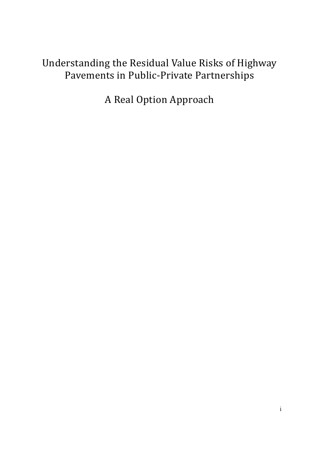# Understanding the Residual Value Risks of Highway Pavements in Public-Private Partnerships

A Real Option Approach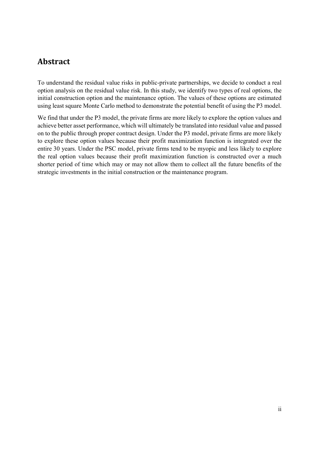# **Abstract**

To understand the residual value risks in public-private partnerships, we decide to conduct a real option analysis on the residual value risk. In this study, we identify two types of real options, the initial construction option and the maintenance option. The values of these options are estimated using least square Monte Carlo method to demonstrate the potential benefit of using the P3 model.

We find that under the P3 model, the private firms are more likely to explore the option values and achieve better asset performance, which will ultimately be translated into residual value and passed on to the public through proper contract design. Under the P3 model, private firms are more likely to explore these option values because their profit maximization function is integrated over the entire 30 years. Under the PSC model, private firms tend to be myopic and less likely to explore the real option values because their profit maximization function is constructed over a much shorter period of time which may or may not allow them to collect all the future benefits of the strategic investments in the initial construction or the maintenance program.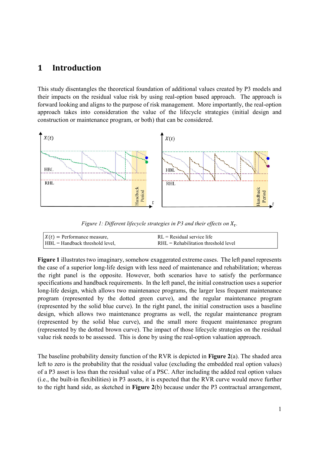# **1 Introduction**

This study disentangles the theoretical foundation of additional values created by P3 models and their impacts on the residual value risk by using real-option based approach. The approach is forward looking and aligns to the purpose of risk management. More importantly, the real-option approach takes into consideration the value of the lifecycle strategies (initial design and construction or maintenance program, or both) that can be considered.



*Figure 1: Different lifecycle strategies in P3 and their effects on*  $X_{\tau}$ .

| $X(t)$ = Performance measure,   | $RL = Residual$ service life           |
|---------------------------------|----------------------------------------|
| HBL = Handback threshold level, | $RHL = Rehabilitation threshold level$ |

**Figure 1** illustrates two imaginary, somehow exaggerated extreme cases. The left panel represents the case of a superior long-life design with less need of maintenance and rehabilitation; whereas the right panel is the opposite. However, both scenarios have to satisfy the performance specifications and handback requirements. In the left panel, the initial construction uses a superior long-life design, which allows two maintenance programs, the larger less frequent maintenance program (represented by the dotted green curve), and the regular maintenance program (represented by the solid blue curve). In the right panel, the initial construction uses a baseline design, which allows two maintenance programs as well, the regular maintenance program (represented by the solid blue curve), and the small more frequent maintenance program (represented by the dotted brown curve). The impact of those lifecycle strategies on the residual value risk needs to be assessed. This is done by using the real-option valuation approach.

The baseline probability density function of the RVR is depicted in **Figure 2**(a). The shaded area left to zero is the probability that the residual value (excluding the embedded real option values) of a P3 asset is less than the residual value of a PSC. After including the added real option values (i.e., the built-in flexibilities) in P3 assets, it is expected that the RVR curve would move further to the right hand side, as sketched in **Figure 2**(b) because under the P3 contractual arrangement,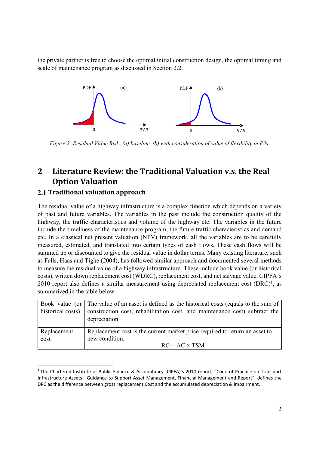the private partner is free to choose the optimal initial construction design, the optimal timing and scale of maintenance program as discussed in Section 2.2.



*Figure 2: Residual Value Risk: (a) baseline, (b) with consideration of value of flexibility in P3s.* 

# **2 Literature Review: the Traditional Valuation v.s. the Real Option Valuation**

# **Traditional valuation approach**

 $\overline{a}$ 

The residual value of a highway infrastructure is a complex function which depends on a variety of past and future variables. The variables in the past include the construction quality of the highway, the traffic characteristics and volume of the highway etc. The variables in the future include the timeliness of the maintenance program, the future traffic characteristics and demand etc. In a classical net present valuation (NPV) framework, all the variables are to be carefully measured, estimated, and translated into certain types of cash flows. These cash flows will be summed up or discounted to give the residual value in dollar terms. Many existing literature, such as Falls, Haas and Tighe (2004), has followed similar approach and documented several methods to measure the residual value of a highway infrastructure. These include book value (or historical costs), written down replacement cost (WDRC), replacement cost, and net salvage value. CIPFA's 2010 report also defines a similar measurement using depreciated replacement cost  $(DRC)^1$ , as summarized in the table below.

|                     | Book value (or $\vert$ The value of an asset is defined as the historical costs (equals to the sum of<br>historical costs) construction cost, rehabilitation cost, and maintenance cost) subtract the<br>depreciation. |
|---------------------|------------------------------------------------------------------------------------------------------------------------------------------------------------------------------------------------------------------------|
| Replacement<br>cost | Replacement cost is the current market price required to return an asset to<br>new condition.                                                                                                                          |
|                     | $RC = AC \times TSM$                                                                                                                                                                                                   |

<sup>&</sup>lt;sup>1</sup> The Chartered Institute of Public Finance & Accountancy (CIPFA)'s 2010 report, "Code of Practice on Transport Infrastructure Assets: Guidance to Support Asset Management, Financial Management and Report", defines the DRC as the difference between gross replacement Cost and the accumulated depreciation & impairment.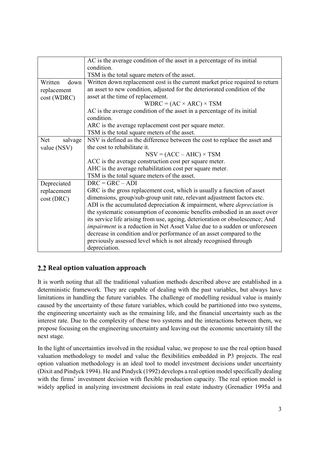|                 | AC is the average condition of the asset in a percentage of its initial           |  |  |
|-----------------|-----------------------------------------------------------------------------------|--|--|
|                 | condition.                                                                        |  |  |
|                 |                                                                                   |  |  |
|                 | TSM is the total square meters of the asset.                                      |  |  |
| Written<br>down | Written down replacement cost is the current market price required to return      |  |  |
| replacement     | an asset to new condition, adjusted for the deteriorated condition of the         |  |  |
| cost (WDRC)     | asset at the time of replacement.                                                 |  |  |
|                 | $WDRC = (AC \times ARC) \times TSM$                                               |  |  |
|                 | AC is the average condition of the asset in a percentage of its initial           |  |  |
|                 | condition.                                                                        |  |  |
|                 | ARC is the average replacement cost per square meter.                             |  |  |
|                 | TSM is the total square meters of the asset.                                      |  |  |
| Net<br>salvage  | NSV is defined as the difference between the cost to replace the asset and        |  |  |
| value (NSV)     | the cost to rehabilitate it.                                                      |  |  |
|                 | $NSV = (ACC - AHC) \times TSM$                                                    |  |  |
|                 | ACC is the average construction cost per square meter.                            |  |  |
|                 | AHC is the average rehabilitation cost per square meter.                          |  |  |
|                 | TSM is the total square meters of the asset.                                      |  |  |
| Depreciated     | $DRC = GRC - ADI$                                                                 |  |  |
| replacement     | GRC is the gross replacement cost, which is usually a function of asset           |  |  |
| cost (DRC)      | dimensions, group/sub-group unit rate, relevant adjustment factors etc.           |  |  |
|                 | ADI is the accumulated depreciation $\&$ impairment, where <i>depreciation</i> is |  |  |
|                 | the systematic consumption of economic benefits embodied in an asset over         |  |  |
|                 | its service life arising from use, ageing, deterioration or obsolescence; And     |  |  |
|                 | <i>impairment</i> is a reduction in Net Asset Value due to a sudden or unforeseen |  |  |
|                 | decrease in condition and/or performance of an asset compared to the              |  |  |
|                 | previously assessed level which is not already recognised through                 |  |  |
|                 | depreciation.                                                                     |  |  |

# **Real option valuation approach**

It is worth noting that all the traditional valuation methods described above are established in a deterministic framework. They are capable of dealing with the past variables, but always have limitations in handling the future variables. The challenge of modelling residual value is mainly caused by the uncertainty of these future variables, which could be partitioned into two systems, the engineering uncertainty such as the remaining life, and the financial uncertainty such as the interest rate. Due to the complexity of these two systems and the interactions between them, we propose focusing on the engineering uncertainty and leaving out the economic uncertainty till the next stage.

In the light of uncertainties involved in the residual value, we propose to use the real option based valuation methodology to model and value the flexibilities embedded in P3 projects. The real option valuation methodology is an ideal tool to model investment decisions under uncertainty (Dixit and Pindyck 1994). He and Pindyck (1992) develops a real option model specifically dealing with the firms' investment decision with flexible production capacity. The real option model is widely applied in analyzing investment decisions in real estate industry (Grenadier 1995a and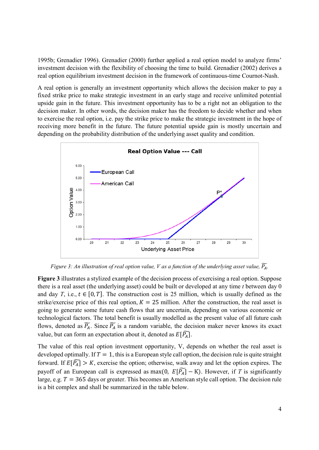1995b; Grenadier 1996). Grenadier (2000) further applied a real option model to analyze firms' investment decision with the flexibility of choosing the time to build. Grenadier (2002) derives a real option equilibrium investment decision in the framework of continuous-time Cournot-Nash.

A real option is generally an investment opportunity which allows the decision maker to pay a fixed strike price to make strategic investment in an early stage and receive unlimited potential upside gain in the future. This investment opportunity has to be a right not an obligation to the decision maker. In other words, the decision maker has the freedom to decide whether and when to exercise the real option, i.e. pay the strike price to make the strategic investment in the hope of receiving more benefit in the future. The future potential upside gain is mostly uncertain and depending on the probability distribution of the underlying asset quality and condition.



*Figure 3: An illustration of real option value, V as a function of the underlying asset value,*  $\overline{P_A}$ *.* 

**Figure 3** illustrates a stylized example of the decision process of exercising a real option. Suppose there is a real asset (the underlying asset) could be built or developed at any time *t* between day 0 and day *T*, i.e.,  $t \in [0, T]$ . The construction cost is 25 million, which is usually defined as the strike/exercise price of this real option,  $K = 25$  million. After the construction, the real asset is going to generate some future cash flows that are uncertain, depending on various economic or technological factors. The total benefit is usually modelled as the present value of all future cash flows, denoted as  $\overline{P_A}$ . Since  $\overline{P_A}$  is a random variable, the decision maker never knows its exact value, but can form an expectation about it, denoted as  $E[\widetilde{P_A}]$ .

The value of this real option investment opportunity, V, depends on whether the real asset is developed optimally. If  $T = 1$ , this is a European style call option, the decision rule is quite straight forward. If  $E[\widetilde{P_A}] > K$ , exercise the option; otherwise, walk away and let the option expires. The payoff of an European call is expressed as max(0,  $E[\widetilde{P_A}] - K$ ). However, if *T* is significantly large, e.g.  $T = 365$  days or greater. This becomes an American style call option. The decision rule is a bit complex and shall be summarized in the table below.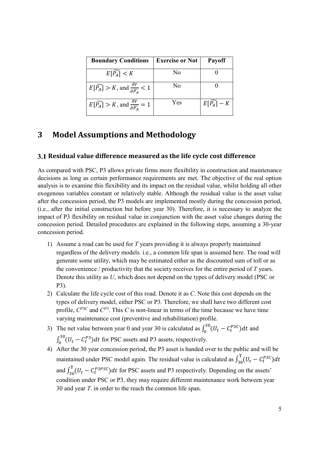| <b>Boundary Conditions</b>                                                       | <b>Exercise or Not</b> | <b>Payoff</b> |
|----------------------------------------------------------------------------------|------------------------|---------------|
| $E[\widetilde{P_A}] < K$                                                         | No                     |               |
| $E[\widetilde{P_A}] > K$ , and $\frac{\partial V}{\partial \widetilde{P_A}} < 1$ | No                     |               |
| $E[\widetilde{P_A}] > K$ , and $\frac{\partial V}{\partial \widetilde{P_A}} = 1$ | Yes                    | $E[P_A] - K$  |

#### **Model Assumptions and Methodology** 3

#### 3.1 Residual value difference measured as the life cycle cost difference

As compared with PSC, P3 allows private firms more flexibility in construction and maintenance decisions as long as certain performance requirements are met. The objective of the real option analysis is to examine this flexibility and its impact on the residual value, whilst holding all other exogenous variables constant or relatively stable. Although the residual value is the asset value after the concession period, the P3 models are implemented mostly during the concession period, (i.e., after the initial construction but before year 30). Therefore, it is necessary to analyze the impact of P3 flexibility on residual value in conjunction with the asset value changes during the concession period. Detailed procedures are explained in the following steps, assuming a 30-year concession period.

- 1) Assume a road can be used for  $T$  years providing it is always properly maintained regardless of the delivery models. *i.e.*, a common life span is assumed here. The road will generate some utility, which may be estimated either as the discounted sum of toll or as the convenience / productivity that the society receives for the entire period of T years. Denote this utility as U, which does not depend on the types of delivery model (PSC or P3).
- 2) Calculate the life cycle cost of this road. Denote it as C. Note this cost depends on the types of delivery model, either PSC or P3. Therefore, we shall have two different cost profile,  $C^{PSC}$  and  $C^{P3}$ . This C is non-linear in terms of the time because we have time varying maintenance cost (preventive and rehabilitation) profile.
- 3) The net value between year 0 and year 30 is calculated as  $\int_0^{30} (U_t C_t^{PSC}) dt$  and  $\int_0^{30} (U_t - C_t^{P3}) dt$  for PSC assets and P3 assets, respectively.
- 4) After the 30 year concession period, the P3 asset is handed over to the public and will be maintained under PSC model again. The residual value is calculated as  $\int_{30}^{T} (U_t - C_t^{PSC}) dt$ and  $\int_{30}^{T} (U_t - C_t^{P3PSC}) dt$  for PSC assets and P3 respectively. Depending on the assets' condition under PSC or P3, they may require different maintenance work between year 30 and year  $T$ . in order to the reach the common life span.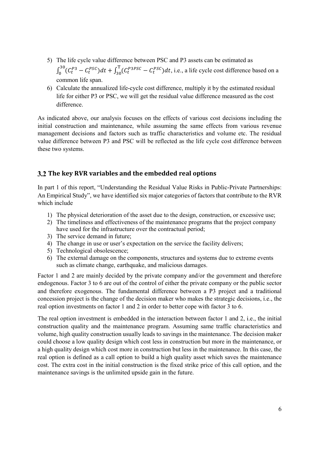- 5) The life cycle value difference between PSC and P3 assets can be estimated as  $\int_0^{30} (C_t^{P3} - C_t^{PSC}) dt + \int_{30}^{T} (C_t^{P3PSC} - C_t^{PSC}) dt$ , i.e., a life cycle cost difference based on a common life span.
- 6) Calculate the annualized life-cycle cost difference, multiply it by the estimated residual life for either P3 or PSC, we will get the residual value difference measured as the cost difference.

As indicated above, our analysis focuses on the effects of various cost decisions including the initial construction and maintenance, while assuming the same effects from various revenue management decisions and factors such as traffic characteristics and volume etc. The residual value difference between P3 and PSC will be reflected as the life cycle cost difference between these two systems.

### **The key RVR variables and the embedded real options**

In part 1 of this report, "Understanding the Residual Value Risks in Public-Private Partnerships: An Empirical Study", we have identified six major categories of factors that contribute to the RVR which include

- 1) The physical deterioration of the asset due to the design, construction, or excessive use;
- 2) The timeliness and effectiveness of the maintenance programs that the project company have used for the infrastructure over the contractual period;
- 3) The service demand in future;
- 4) The change in use or user's expectation on the service the facility delivers;
- 5) Technological obsolescence;
- 6) The external damage on the components, structures and systems due to extreme events such as climate change, earthquake, and malicious damages.

Factor 1 and 2 are mainly decided by the private company and/or the government and therefore endogenous. Factor 3 to 6 are out of the control of either the private company or the public sector and therefore exogenous. The fundamental difference between a P3 project and a traditional concession project is the change of the decision maker who makes the strategic decisions, i.e., the real option investments on factor 1 and 2 in order to better cope with factor 3 to 6.

The real option investment is embedded in the interaction between factor 1 and 2, i.e., the initial construction quality and the maintenance program. Assuming same traffic characteristics and volume, high quality construction usually leads to savings in the maintenance. The decision maker could choose a low quality design which cost less in construction but more in the maintenance, or a high quality design which cost more in construction but less in the maintenance. In this case, the real option is defined as a call option to build a high quality asset which saves the maintenance cost. The extra cost in the initial construction is the fixed strike price of this call option, and the maintenance savings is the unlimited upside gain in the future.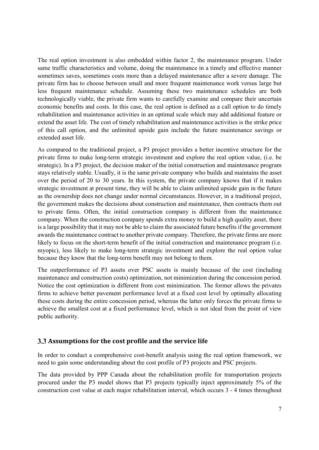The real option investment is also embedded within factor 2, the maintenance program. Under same traffic characteristics and volume, doing the maintenance in a timely and effective manner sometimes saves, sometimes costs more than a delayed maintenance after a severe damage. The private firm has to choose between small and more frequent maintenance work versus large but less frequent maintenance schedule. Assuming these two maintenance schedules are both technologically viable, the private firm wants to carefully examine and compare their uncertain economic benefits and costs. In this case, the real option is defined as a call option to do timely rehabilitation and maintenance activities in an optimal scale which may add additional feature or extend the asset life. The cost of timely rehabilitation and maintenance activities is the strike price of this call option, and the unlimited upside gain include the future maintenance savings or extended asset life.

As compared to the traditional project, a P3 project provides a better incentive structure for the private firms to make long-term strategic investment and explore the real option value, (i.e. be strategic). In a P3 project, the decision maker of the initial construction and maintenance program stays relatively stable. Usually, it is the same private company who builds and maintains the asset over the period of 20 to 30 years. In this system, the private company knows that if it makes strategic investment at present time, they will be able to claim unlimited upside gain in the future as the ownership does not change under normal circumstances. However, in a traditional project, the government makes the decisions about construction and maintenance, then contracts them out to private firms. Often, the initial construction company is different from the maintenance company. When the construction company spends extra money to build a high quality asset, there is a large possibility that it may not be able to claim the associated future benefits if the government awards the maintenance contract to another private company. Therefore, the private firms are more likely to focus on the short-term benefit of the initial construction and maintenance program (i.e. myopic), less likely to make long-term strategic investment and explore the real option value because they know that the long-term benefit may not belong to them.

The outperformance of P3 assets over PSC assets is mainly because of the cost (including maintenance and construction costs) optimization, not minimization during the concession period. Notice the cost optimization is different from cost minimization. The former allows the privates firms to achieve better pavement performance level at a fixed cost level by optimally allocating these costs during the entire concession period, whereas the latter only forces the private firms to achieve the smallest cost at a fixed performance level, which is not ideal from the point of view public authority.

### **Assumptions for the cost profile and the service life**

In order to conduct a comprehensive cost-benefit analysis using the real option framework, we need to gain some understanding about the cost profile of P3 projects and PSC projects.

The data provided by PPP Canada about the rehabilitation profile for transportation projects procured under the P3 model shows that P3 projects typically inject approximately 5% of the construction cost value at each major rehabilitation interval, which occurs 3 - 4 times throughout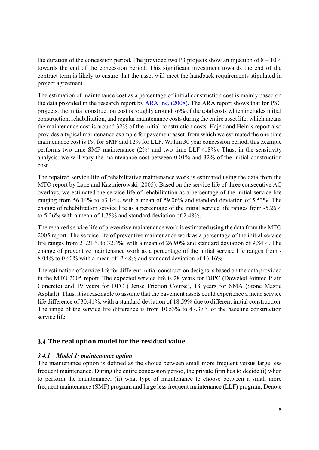the duration of the concession period. The provided two P3 projects show an injection of  $8 - 10\%$ towards the end of the concession period. This significant investment towards the end of the contract term is likely to ensure that the asset will meet the handback requirements stipulated in project agreement.

The estimation of maintenance cost as a percentage of initial construction cost is mainly based on the data provided in the research report by ARA Inc. (2008). The ARA report shows that for PSC projects, the initial construction cost is roughly around 76% of the total costs which includes initial construction, rehabilitation, and regular maintenance costs during the entire asset life, which means the maintenance cost is around 32% of the initial construction costs. Hajek and Hein's report also provides a typical maintenance example for pavement asset, from which we estimated the one time maintenance cost is 1% for SMF and 12% for LLF. Within 30 year concession period, this example performs two time SMF maintenance (2%) and two time LLF (18%). Thus, in the sensitivity analysis, we will vary the maintenance cost between 0.01% and 32% of the initial construction cost.

The repaired service life of rehabilitative maintenance work is estimated using the data from the MTO report by Lane and Kazmierowski (2005). Based on the service life of three consecutive AC overlays, we estimated the service life of rehabilitation as a percentage of the initial service life ranging from 56.14% to 63.16% with a mean of 59.06% and standard deviation of 5.53%. The change of rehabilitation service life as a percentage of the initial service life ranges from -5.26% to 5.26% with a mean of 1.75% and standard deviation of 2.48%.

The repaired service life of preventive maintenance work is estimated using the data from the MTO 2005 report. The service life of preventive maintenance work as a percentage of the initial service life ranges from 21.21% to 32.4%, with a mean of 26.90% and standard deviation of 9.84%. The change of preventive maintenance work as a percentage of the initial service life ranges from - 8.04% to 0.60% with a mean of -2.48% and standard deviation of 16.16%.

The estimation of service life for different initial construction designs is based on the data provided in the MTO 2005 report. The expected service life is 28 years for DJPC (Doweled Jointed Plain Concrete) and 19 years for DFC (Dense Friction Course), 18 years for SMA (Stone Mastic Asphalt). Thus, it is reasonable to assume that the pavement assets could experience a mean service life difference of 30.41%, with a standard deviation of 18.59% due to different initial construction. The range of the service life difference is from 10.53% to 47.37% of the baseline construction service life.

## **The real option model for the residual value**

### *3.4.1 Model 1: maintenance option*

The maintenance option is defined as the choice between small more frequent versus large less frequent maintenance. During the entire concession period, the private firm has to decide (i) when to perform the maintenance; (ii) what type of maintenance to choose between a small more frequent maintenance (SMF) program and large less frequent maintenance (LLF) program. Denote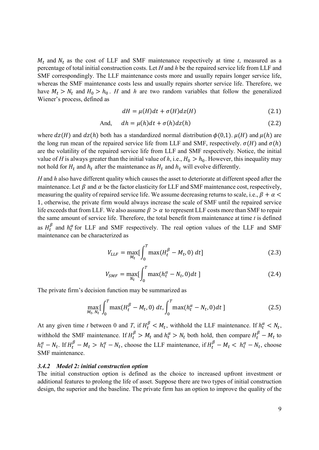$M_t$  and  $N_t$  as the cost of LLF and SMF maintenance respectively at time t, measured as a percentage of total initial construction costs. Let  $H$  and  $h$  be the repaired service life from LLF and SMF correspondingly. The LLF maintenance costs more and usually repairs longer service life, whereas the SMF maintenance costs less and usually repairs shorter service life. Therefore, we have  $M_t > N_t$  and  $H_0 > h_0$ . H and h are two random variables that follow the generalized Wiener's process, defined as

$$
dH = \mu(H)dt + \sigma(H)dz(H)
$$
\n(2.1)

And, 
$$
dh = \mu(h)dt + \sigma(h)dz(h)
$$
 (2.2)

where  $dz(H)$  and  $dz(h)$  both has a standardized normal distribution  $\phi(0,1)$ .  $\mu(H)$  and  $\mu(h)$  are the long run mean of the repaired service life from LLF and SMF, respectively.  $\sigma(H)$  and  $\sigma(h)$ are the volatility of the repaired service life from LLF and SMF respectively. Notice, the initial value of H is always greater than the initial value of h, i.e.,  $H_0 > h_0$ . However, this inequality may not hold for  $H_t$  and  $h_t$  after the maintenance as  $H_t$  and  $h_t$  will evolve differently.

H and h also have different quality which causes the asset to deteriorate at different speed after the maintenance. Let  $\beta$  and  $\alpha$  be the factor elasticity for LLF and SMF maintenance cost, respectively, measuring the quality of repaired service life. We assume decreasing returns to scale, i.e.,  $\beta + \alpha <$ 1, otherwise, the private firm would always increase the scale of SMF until the repaired service life exceeds that from LLF. We also assume  $\beta > \alpha$  to represent LLF costs more than SMF to repair the same amount of service life. Therefore, the total benefit from maintenance at time  $t$  is defined as  $H_t^{\beta}$  and  $h_t^{\alpha}$  for LLF and SMF respectively. The real option values of the LLF and SMF maintenance can be characterized as

$$
V_{LLF} = \max_{M_t} \left[ \int_0^T \max(H_t^{\beta} - M_t, 0) \, dt \right] \tag{2.3}
$$

$$
V_{SMF} = \max_{N_t} \left[ \int_0^T \max(h_t^{\alpha} - N_t, 0) dt \right]
$$
 (2.4)

The private firm's decision function may be summarized as

$$
\max_{M_t, N_t} \left[ \int_0^T \max(H_t^{\beta} - M_t, 0) \, dt, \int_0^T \max(h_t^{\alpha} - N_t, 0) dt \, \right] \tag{2.5}
$$

At any given time t between 0 and T, if  $H_t^{\beta} < M_t$ , withhold the LLF maintenance. If  $h_t^{\alpha} < N_t$ , withhold the SMF maintenance. If  $H_t^{\beta} > M_t$  and  $h_t^{\alpha} > N_t$  both hold, then compare  $H_t^{\beta} - M_t$  to  $h_t^{\alpha} - N_t$ . If  $H_t^{\beta} - M_t > h_t^{\alpha} - N_t$ , choose the LLF maintenance, if  $H_t^{\beta} - M_t < h_t^{\alpha} - N_t$ , choose SMF maintenance.

#### 3.4.2 Model 2: initial construction option

The initial construction option is defined as the choice to increased upfront investment or additional features to prolong the life of asset. Suppose there are two types of initial construction design, the superior and the baseline. The private firm has an option to improve the quality of the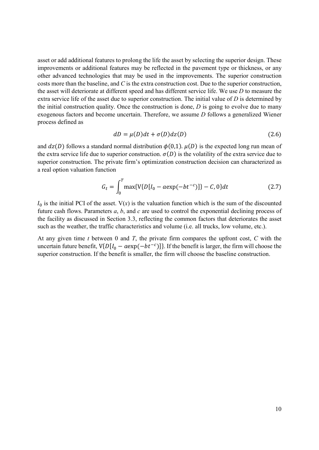asset or add additional features to prolong the life the asset by selecting the superior design. These improvements or additional features may be reflected in the pavement type or thickness, or any other advanced technologies that may be used in the improvements. The superior construction costs more than the baseline, and *C* is the extra construction cost. Due to the superior construction, the asset will deteriorate at different speed and has different service life. We use *D* to measure the extra service life of the asset due to superior construction. The initial value of *D* is determined by the initial construction quality. Once the construction is done, *D* is going to evolve due to many exogenous factors and become uncertain. Therefore, we assume *D* follows a generalized Wiener process defined as

$$
dD = \mu(D)dt + \sigma(D)dz(D)
$$
\n(2.6)

and  $dz(D)$  follows a standard normal distribution  $\phi(0,1)$ .  $\mu(D)$  is the expected long run mean of the extra service life due to superior construction.  $\sigma(D)$  is the volatility of the extra service due to superior construction. The private firm's optimization construction decision can characterized as a real option valuation function

$$
G_t = \int_0^T \max\{V\{D[I_0 - a \exp(-bt^{-c})]\} - C, 0\} dt
$$
 (2.7)

 $I_0$  is the initial PCI of the asset.  $V(x)$  is the valuation function which is the sum of the discounted future cash flows. Parameters *a*, *b*, and *c* are used to control the exponential declining process of the facility as discussed in Section 3.3, reflecting the common factors that deteriorates the asset such as the weather, the traffic characteristics and volume (i.e. all trucks, low volume, etc.).

At any given time *t* between 0 and *T*, the private firm compares the upfront cost, *C* with the uncertain future benefit,  $V\{D[I_0 - aexp(-bt^{-c})]\}$ . If the benefit is larger, the firm will choose the superior construction. If the benefit is smaller, the firm will choose the baseline construction.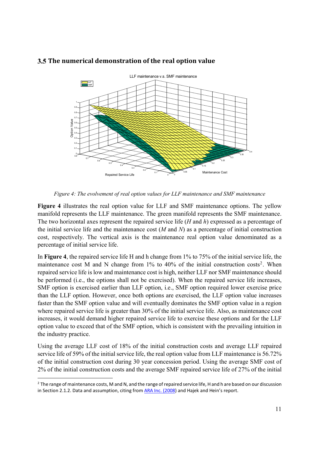

### **The numerical demonstration of the real option value**

*Figure 4: The evolvement of real option values for LLF maintenance and SMF maintenance* 

**Figure 4** illustrates the real option value for LLF and SMF maintenance options. The yellow manifold represents the LLF maintenance. The green manifold represents the SMF maintenance. The two horizontal axes represent the repaired service life (*H* and *h*) expressed as a percentage of the initial service life and the maintenance cost (*M* and *N*) as a percentage of initial construction cost, respectively. The vertical axis is the maintenance real option value denominated as a percentage of initial service life.

In **Figure 4**, the repaired service life H and h change from 1% to 75% of the initial service life, the maintenance cost M and N change from  $1\%$  to  $40\%$  of the initial construction costs<sup>2</sup>. When repaired service life is low and maintenance cost is high, neither LLF nor SMF maintenance should be performed (i.e., the options shall not be exercised). When the repaired service life increases, SMF option is exercised earlier than LLF option, i.e., SMF option required lower exercise price than the LLF option. However, once both options are exercised, the LLF option value increases faster than the SMF option value and will eventually dominates the SMF option value in a region where repaired service life is greater than 30% of the initial service life. Also, as maintenance cost increases, it would demand higher repaired service life to exercise these options and for the LLF option value to exceed that of the SMF option, which is consistent with the prevailing intuition in the industry practice.

Using the average LLF cost of 18% of the initial construction costs and average LLF repaired service life of 59% of the initial service life, the real option value from LLF maintenance is 56.72% of the initial construction cost during 30 year concession period. Using the average SMF cost of 2% of the initial construction costs and the average SMF repaired service life of 27% of the initial

 $\overline{a}$ 

 $^2$  The range of maintenance costs, M and N, and the range of repaired service life, H and h are based on our discussion in Section 2.1.2. Data and assumption, citing from ARA Inc. (2008) and Hajek and Hein's report.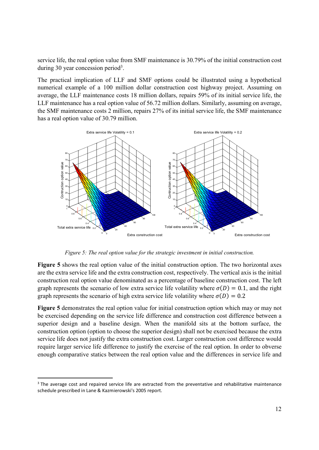service life, the real option value from SMF maintenance is 30.79% of the initial construction cost during 30 year concession period3.

The practical implication of LLF and SMF options could be illustrated using a hypothetical numerical example of a 100 million dollar construction cost highway project. Assuming on average, the LLF maintenance costs 18 million dollars, repairs 59% of its initial service life, the LLF maintenance has a real option value of 56.72 million dollars. Similarly, assuming on average, the SMF maintenance costs 2 million, repairs 27% of its initial service life, the SMF maintenance has a real option value of 30.79 million.



*Figure 5: The real option value for the strategic investment in initial construction.* 

**Figure 5** shows the real option value of the initial construction option. The two horizontal axes are the extra service life and the extra construction cost, respectively. The vertical axis is the initial construction real option value denominated as a percentage of baseline construction cost. The left graph represents the scenario of low extra service life volatility where  $\sigma(D) = 0.1$ , and the right graph represents the scenario of high extra service life volatility where  $\sigma(D) = 0.2$ 

**Figure 5** demonstrates the real option value for initial construction option which may or may not be exercised depending on the service life difference and construction cost difference between a superior design and a baseline design. When the manifold sits at the bottom surface, the construction option (option to choose the superior design) shall not be exercised because the extra service life does not justify the extra construction cost. Larger construction cost difference would require larger service life difference to justify the exercise of the real option. In order to obverse enough comparative statics between the real option value and the differences in service life and

-

<sup>&</sup>lt;sup>3</sup> The average cost and repaired service life are extracted from the preventative and rehabilitative maintenance schedule prescribed in Lane & Kazmierowski's 2005 report.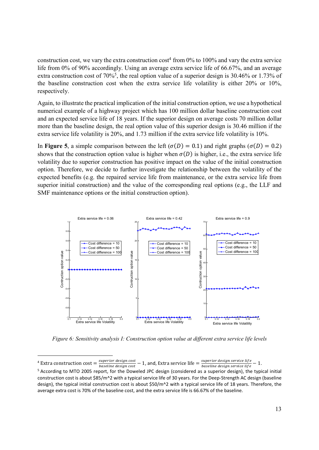construction cost, we vary the extra construction  $\cos t^4$  from 0% to 100% and vary the extra service life from 0% of 90% accordingly. Using an average extra service life of 66.67%, and an average extra construction cost of 70%<sup>5</sup>, the real option value of a superior design is 30.46% or 1.73% of the baseline construction cost when the extra service life volatility is either 20% or 10%, respectively.

Again, to illustrate the practical implication of the initial construction option, we use a hypothetical numerical example of a highway project which has 100 million dollar baseline construction cost and an expected service life of 18 years. If the superior design on average costs 70 million dollar more than the baseline design, the real option value of this superior design is 30.46 million if the extra service life volatility is 20%, and 1.73 million if the extra service life volatility is 10%.

In **Figure 5**, a simple comparison between the left ( $\sigma(D) = 0.1$ ) and right graphs ( $\sigma(D) = 0.2$ ) shows that the construction option value is higher when  $\sigma(D)$  is higher, i.e., the extra service life volatility due to superior construction has positive impact on the value of the initial construction option. Therefore, we decide to further investigate the relationship between the volatility of the expected benefits (e.g. the repaired service life from maintenance, or the extra service life from superior initial construction) and the value of the corresponding real options (e.g., the LLF and SMF maintenance options or the initial construction option).



*Figure 6: Sensitivity analysis I: Construction option value at different extra service life levels* 

-

<sup>&</sup>lt;sup>4</sup> Extra construction cost  $=\frac{superior\ desired\ useful\}}{baseline\ desired\}}-1$ , and, Extra service life  $=\frac{superior\ desired\}}{baseline\ design\ service\ life} - 1$ .  $\overline{b}$  aseline design service life

<sup>&</sup>lt;sup>5</sup> According to MTO 2005 report, for the Doweled JPC design (considered as a superior design), the typical initial construction cost is about \$85/m^2 with a typical service life of 30 years. For the Deep-Strength AC design (baseline design), the typical initial construction cost is about  $$50/m^2$  with a typical service life of 18 years. Therefore, the average extra cost is 70% of the baseline cost, and the extra service life is 66.67% of the baseline.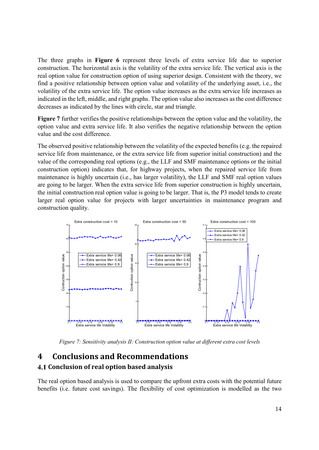The three graphs in **Figure 6** represent three levels of extra service life due to superior construction. The horizontal axis is the volatility of the extra service life. The vertical axis is the real option value for construction option of using superior design. Consistent with the theory, we find a positive relationship between option value and volatility of the underlying asset, i.e., the volatility of the extra service life. The option value increases as the extra service life increases as indicated in the left, middle, and right graphs. The option value also increases as the cost difference decreases as indicated by the lines with circle, star and triangle.

**Figure 7** further verifies the positive relationships between the option value and the volatility, the option value and extra service life. It also verifies the negative relationship between the option value and the cost difference.

The observed positive relationship between the volatility of the expected benefits (e.g. the repaired service life from maintenance, or the extra service life from superior initial construction) and the value of the corresponding real options (e.g., the LLF and SMF maintenance options or the initial construction option) indicates that, for highway projects, when the repaired service life from maintenance is highly uncertain (i.e., has larger volatility), the LLF and SMF real option values are going to be larger. When the extra service life from superior construction is highly uncertain, the initial construction real option value is going to be larger. That is, the P3 model tends to create larger real option value for projects with larger uncertainties in maintenance program and construction quality.



*Figure 7: Sensitivity analysis II: Construction option value at different extra cost levels* 

# **4 Conclusions and Recommendations Conclusion of real option based analysis**

The real option based analysis is used to compare the upfront extra costs with the potential future benefits (i.e. future cost savings). The flexibility of cost optimization is modelled as the two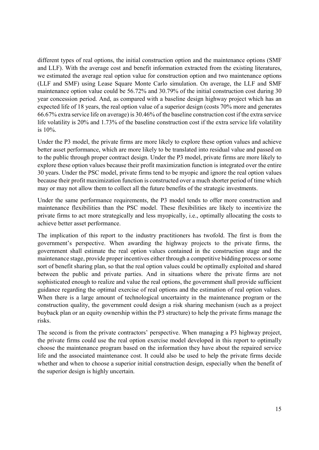different types of real options, the initial construction option and the maintenance options (SMF and LLF). With the average cost and benefit information extracted from the existing literatures, we estimated the average real option value for construction option and two maintenance options (LLF and SMF) using Lease Square Monte Carlo simulation. On average, the LLF and SMF maintenance option value could be 56.72% and 30.79% of the initial construction cost during 30 year concession period. And, as compared with a baseline design highway project which has an expected life of 18 years, the real option value of a superior design (costs 70% more and generates 66.67% extra service life on average) is 30.46% of the baseline construction cost if the extra service life volatility is 20% and 1.73% of the baseline construction cost if the extra service life volatility is 10%.

Under the P3 model, the private firms are more likely to explore these option values and achieve better asset performance, which are more likely to be translated into residual value and passed on to the public through proper contract design. Under the P3 model, private firms are more likely to explore these option values because their profit maximization function is integrated over the entire 30 years. Under the PSC model, private firms tend to be myopic and ignore the real option values because their profit maximization function is constructed over a much shorter period of time which may or may not allow them to collect all the future benefits of the strategic investments.

Under the same performance requirements, the P3 model tends to offer more construction and maintenance flexibilities than the PSC model. These flexibilities are likely to incentivize the private firms to act more strategically and less myopically, i.e., optimally allocating the costs to achieve better asset performance.

The implication of this report to the industry practitioners has twofold. The first is from the government's perspective. When awarding the highway projects to the private firms, the government shall estimate the real option values contained in the construction stage and the maintenance stage, provide proper incentives either through a competitive bidding process or some sort of benefit sharing plan, so that the real option values could be optimally exploited and shared between the public and private parties. And in situations where the private firms are not sophisticated enough to realize and value the real options, the government shall provide sufficient guidance regarding the optimal exercise of real options and the estimation of real option values. When there is a large amount of technological uncertainty in the maintenance program or the construction quality, the government could design a risk sharing mechanism (such as a project buyback plan or an equity ownership within the P3 structure) to help the private firms manage the risks.

The second is from the private contractors' perspective. When managing a P3 highway project, the private firms could use the real option exercise model developed in this report to optimally choose the maintenance program based on the information they have about the repaired service life and the associated maintenance cost. It could also be used to help the private firms decide whether and when to choose a superior initial construction design, especially when the benefit of the superior design is highly uncertain.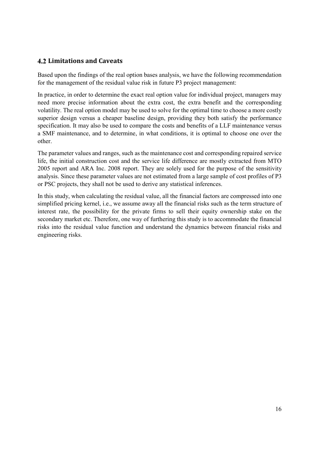# **Limitations and Caveats**

Based upon the findings of the real option bases analysis, we have the following recommendation for the management of the residual value risk in future P3 project management:

In practice, in order to determine the exact real option value for individual project, managers may need more precise information about the extra cost, the extra benefit and the corresponding volatility. The real option model may be used to solve for the optimal time to choose a more costly superior design versus a cheaper baseline design, providing they both satisfy the performance specification. It may also be used to compare the costs and benefits of a LLF maintenance versus a SMF maintenance, and to determine, in what conditions, it is optimal to choose one over the other.

The parameter values and ranges, such as the maintenance cost and corresponding repaired service life, the initial construction cost and the service life difference are mostly extracted from MTO 2005 report and ARA Inc. 2008 report. They are solely used for the purpose of the sensitivity analysis. Since these parameter values are not estimated from a large sample of cost profiles of P3 or PSC projects, they shall not be used to derive any statistical inferences.

In this study, when calculating the residual value, all the financial factors are compressed into one simplified pricing kernel, i.e., we assume away all the financial risks such as the term structure of interest rate, the possibility for the private firms to sell their equity ownership stake on the secondary market etc. Therefore, one way of furthering this study is to accommodate the financial risks into the residual value function and understand the dynamics between financial risks and engineering risks.